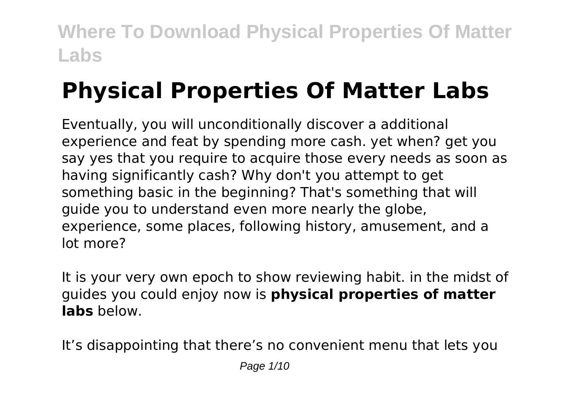# **Physical Properties Of Matter Labs**

Eventually, you will unconditionally discover a additional experience and feat by spending more cash. yet when? get you say yes that you require to acquire those every needs as soon as having significantly cash? Why don't you attempt to get something basic in the beginning? That's something that will guide you to understand even more nearly the globe, experience, some places, following history, amusement, and a lot more?

It is your very own epoch to show reviewing habit. in the midst of guides you could enjoy now is **physical properties of matter labs** below.

It's disappointing that there's no convenient menu that lets you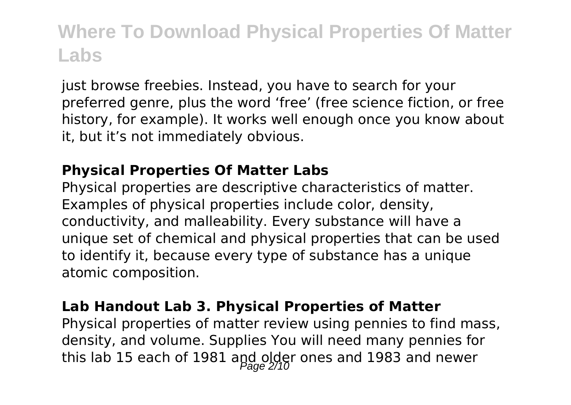just browse freebies. Instead, you have to search for your preferred genre, plus the word 'free' (free science fiction, or free history, for example). It works well enough once you know about it, but it's not immediately obvious.

#### **Physical Properties Of Matter Labs**

Physical properties are descriptive characteristics of matter. Examples of physical properties include color, density, conductivity, and malleability. Every substance will have a unique set of chemical and physical properties that can be used to identify it, because every type of substance has a unique atomic composition.

#### **Lab Handout Lab 3. Physical Properties of Matter**

Physical properties of matter review using pennies to find mass, density, and volume. Supplies You will need many pennies for this lab 15 each of 1981 and older ones and 1983 and newer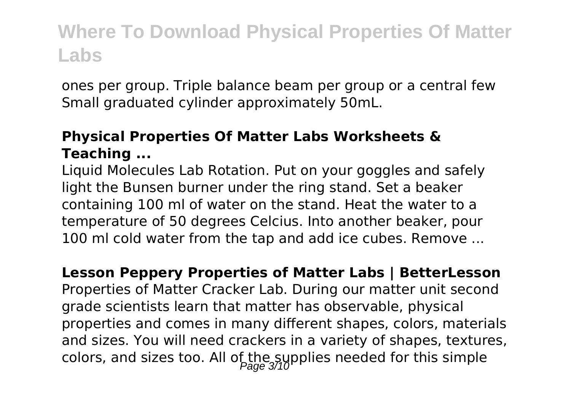ones per group. Triple balance beam per group or a central few Small graduated cylinder approximately 50mL.

#### **Physical Properties Of Matter Labs Worksheets & Teaching ...**

Liquid Molecules Lab Rotation. Put on your goggles and safely light the Bunsen burner under the ring stand. Set a beaker containing 100 ml of water on the stand. Heat the water to a temperature of 50 degrees Celcius. Into another beaker, pour 100 ml cold water from the tap and add ice cubes. Remove ...

**Lesson Peppery Properties of Matter Labs | BetterLesson** Properties of Matter Cracker Lab. During our matter unit second grade scientists learn that matter has observable, physical properties and comes in many different shapes, colors, materials and sizes. You will need crackers in a variety of shapes, textures, colors, and sizes too. All of the supplies needed for this simple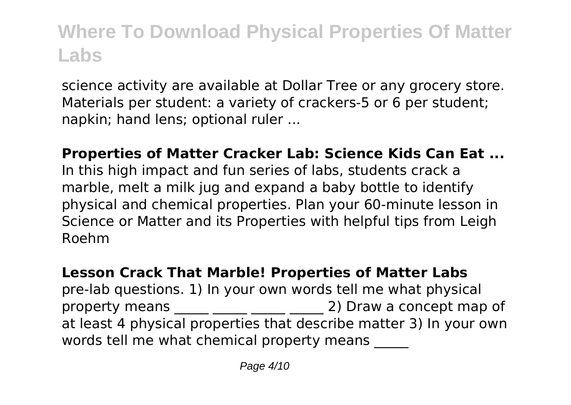science activity are available at Dollar Tree or any grocery store. Materials per student: a variety of crackers-5 or 6 per student; napkin; hand lens; optional ruler ...

**Properties of Matter Cracker Lab: Science Kids Can Eat ...** In this high impact and fun series of labs, students crack a marble, melt a milk jug and expand a baby bottle to identify physical and chemical properties. Plan your 60-minute lesson in Science or Matter and its Properties with helpful tips from Leigh Roehm

#### **Lesson Crack That Marble! Properties of Matter Labs**

pre-lab questions. 1) In your own words tell me what physical property means and a set of the 2) Draw a concept map of at least 4 physical properties that describe matter 3) In your own words tell me what chemical property means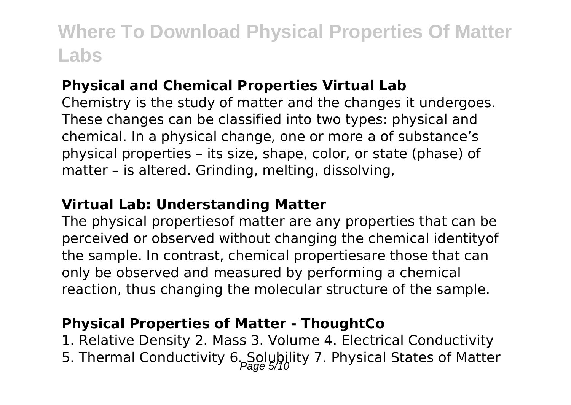#### **Physical and Chemical Properties Virtual Lab**

Chemistry is the study of matter and the changes it undergoes. These changes can be classified into two types: physical and chemical. In a physical change, one or more a of substance's physical properties – its size, shape, color, or state (phase) of matter – is altered. Grinding, melting, dissolving,

#### **Virtual Lab: Understanding Matter**

The physical propertiesof matter are any properties that can be perceived or observed without changing the chemical identityof the sample. In contrast, chemical propertiesare those that can only be observed and measured by performing a chemical reaction, thus changing the molecular structure of the sample.

#### **Physical Properties of Matter - ThoughtCo**

1. Relative Density 2. Mass 3. Volume 4. Electrical Conductivity 5. Thermal Conductivity 6. Solubility 7. Physical States of Matter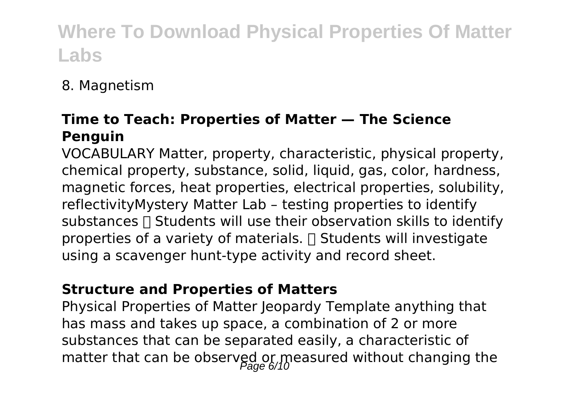8. Magnetism

#### **Time to Teach: Properties of Matter — The Science Penguin**

VOCABULARY Matter, property, characteristic, physical property, chemical property, substance, solid, liquid, gas, color, hardness, magnetic forces, heat properties, electrical properties, solubility, reflectivityMystery Matter Lab – testing properties to identify substances  $\Box$  Students will use their observation skills to identify properties of a variety of materials.  $\Box$  Students will investigate using a scavenger hunt-type activity and record sheet.

#### **Structure and Properties of Matters**

Physical Properties of Matter Jeopardy Template anything that has mass and takes up space, a combination of 2 or more substances that can be separated easily, a characteristic of matter that can be observed or measured without changing the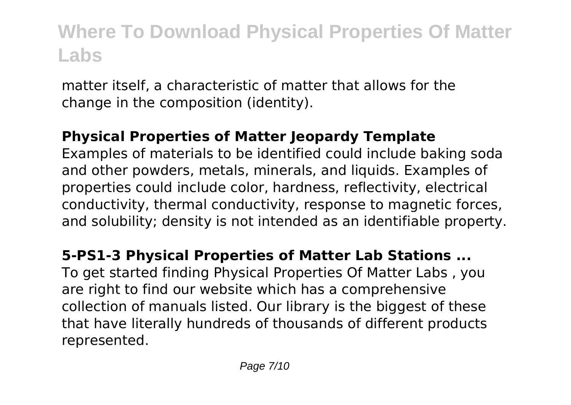matter itself, a characteristic of matter that allows for the change in the composition (identity).

#### **Physical Properties of Matter Jeopardy Template**

Examples of materials to be identified could include baking soda and other powders, metals, minerals, and liquids. Examples of properties could include color, hardness, reflectivity, electrical conductivity, thermal conductivity, response to magnetic forces, and solubility; density is not intended as an identifiable property.

### **5-PS1-3 Physical Properties of Matter Lab Stations ...**

To get started finding Physical Properties Of Matter Labs , you are right to find our website which has a comprehensive collection of manuals listed. Our library is the biggest of these that have literally hundreds of thousands of different products represented.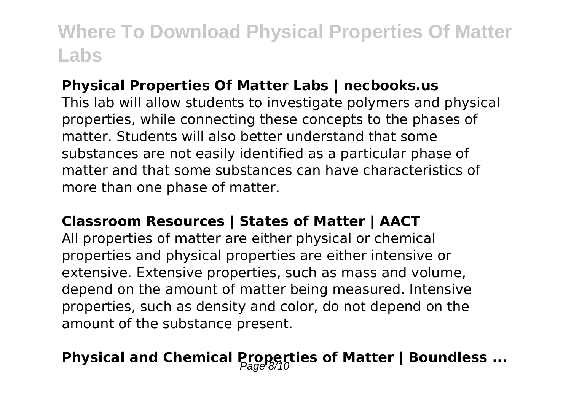#### **Physical Properties Of Matter Labs | necbooks.us**

This lab will allow students to investigate polymers and physical properties, while connecting these concepts to the phases of matter. Students will also better understand that some substances are not easily identified as a particular phase of matter and that some substances can have characteristics of more than one phase of matter.

#### **Classroom Resources | States of Matter | AACT**

All properties of matter are either physical or chemical properties and physical properties are either intensive or extensive. Extensive properties, such as mass and volume, depend on the amount of matter being measured. Intensive properties, such as density and color, do not depend on the amount of the substance present.

### **Physical and Chemical Properties of Matter | Boundless ...**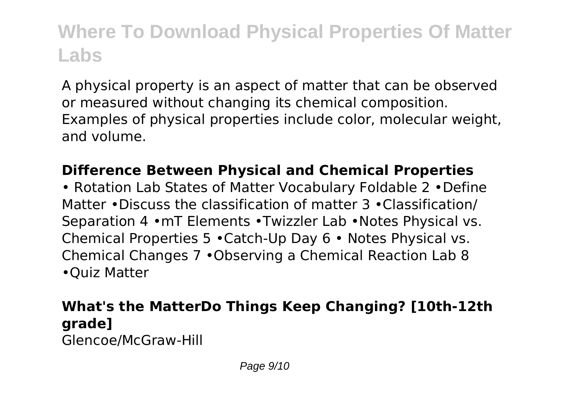A physical property is an aspect of matter that can be observed or measured without changing its chemical composition. Examples of physical properties include color, molecular weight, and volume.

#### **Difference Between Physical and Chemical Properties**

• Rotation Lab States of Matter Vocabulary Foldable 2 •Define Matter •Discuss the classification of matter 3 •Classification/ Separation 4 •mT Elements •Twizzler Lab •Notes Physical vs. Chemical Properties 5 •Catch-Up Day 6 • Notes Physical vs. Chemical Changes 7 •Observing a Chemical Reaction Lab 8 •Quiz Matter

### **What's the MatterDo Things Keep Changing? [10th-12th grade]**

Glencoe/McGraw-Hill